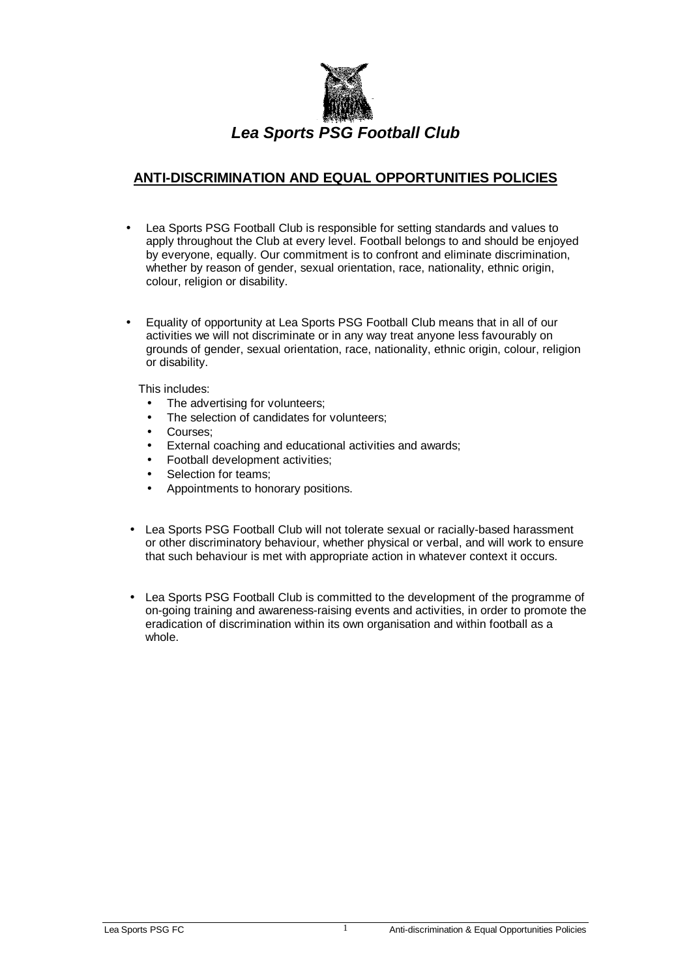

## **ANTI-DISCRIMINATION AND EQUAL OPPORTUNITIES POLICIES**

- Lea Sports PSG Football Club is responsible for setting standards and values to apply throughout the Club at every level. Football belongs to and should be enjoyed by everyone, equally. Our commitment is to confront and eliminate discrimination, whether by reason of gender, sexual orientation, race, nationality, ethnic origin, colour, religion or disability.
- Equality of opportunity at Lea Sports PSG Football Club means that in all of our activities we will not discriminate or in any way treat anyone less favourably on grounds of gender, sexual orientation, race, nationality, ethnic origin, colour, religion or disability.

This includes:

- The advertising for volunteers:
- The selection of candidates for volunteers;
- Courses;
- External coaching and educational activities and awards;
- Football development activities;
- Selection for teams;
- Appointments to honorary positions.
- Lea Sports PSG Football Club will not tolerate sexual or racially-based harassment or other discriminatory behaviour, whether physical or verbal, and will work to ensure that such behaviour is met with appropriate action in whatever context it occurs.
- Lea Sports PSG Football Club is committed to the development of the programme of on-going training and awareness-raising events and activities, in order to promote the eradication of discrimination within its own organisation and within football as a whole.